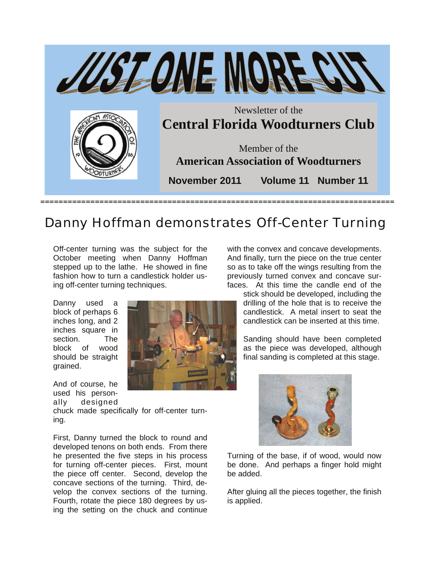

## Danny Hoffman demonstrates Off-Center Turning

Off-center turning was the subject for the October meeting when Danny Hoffman stepped up to the lathe. He showed in fine fashion how to turn a candlestick holder using off-center turning techniques.

Danny used a block of perhaps 6 inches long, and 2 inches square in section. The block of wood should be straight grained.

And of course, he used his personally designed

chuck made specifically for off-center turning.

First, Danny turned the block to round and developed tenons on both ends. From there he presented the five steps in his process for turning off-center pieces. First, mount the piece off center. Second, develop the concave sections of the turning. Third, develop the convex sections of the turning. Fourth, rotate the piece 180 degrees by using the setting on the chuck and continue

with the convex and concave developments. And finally, turn the piece on the true center so as to take off the wings resulting from the previously turned convex and concave surfaces. At this time the candle end of the

> stick should be developed, including the drilling of the hole that is to receive the candlestick. A metal insert to seat the candlestick can be inserted at this time.

> Sanding should have been completed as the piece was developed, although final sanding is completed at this stage.



Turning of the base, if of wood, would now be done. And perhaps a finger hold might be added.

After gluing all the pieces together, the finish is applied.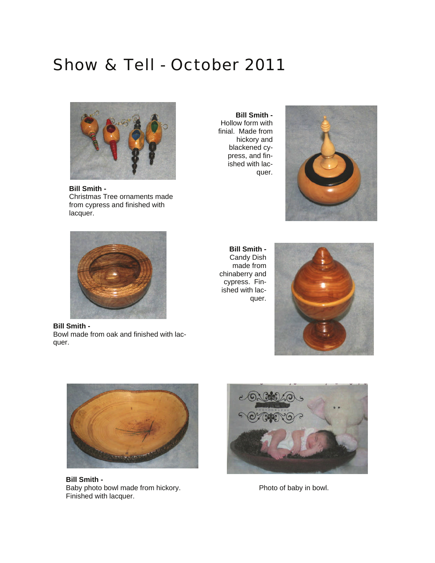## Show & Tell - October 2011



**Bill Smith -**  Christmas Tree ornaments made from cypress and finished with lacquer.



**Bill Smith -**  Bowl made from oak and finished with lacquer.

**Bill Smith -**  Hollow form with finial. Made from hickory and blackened cypress, and finished with lacquer.



**Bill Smith -**  Candy Dish made from chinaberry and cypress. Finished with lacquer.





**Bill Smith -**  Baby photo bowl made from hickory. Finished with lacquer.



Photo of baby in bowl.